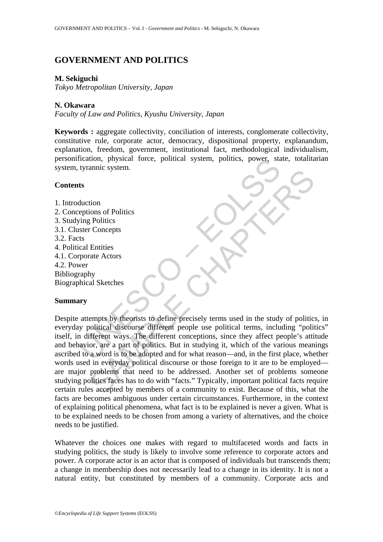# **GOVERNMENT AND POLITICS**

## **M. Sekiguchi**

*Tokyo Metropolitan University, Japan* 

## **N. Okawara**

*Faculty of Law and Politics, Kyushu University, Japan* 

**Keywords :** aggregate collectivity, conciliation of interests, conglomerate collectivity, constitutive rule, corporate actor, democracy, dispositional property, explanandum, explanation, freedom, government, institutional fact, methodological individualism, personification, physical force, political system, politics, power, state, totalitarian system, tyrannic system.

## **Contents**

1. Introduction 2. Conceptions of Politics 3. Studying Politics 3.1. Cluster Concepts 3.2. Facts 4. Political Entities 4.1. Corporate Actors 4.2. Power Bibliography Biographical Sketches

## **Summary**

Expansive System, political system, politics, power, stated and the system.<br>
the duction<br>
the duction<br>
of Politics<br>
the duction<br>
star Concepts<br>
ts<br>
cal Entities<br>
ts<br>
cal Entities<br>
porate Actors<br>
were<br>
the porate Actors<br>
we anne system.<br>
ion<br>
ions of Politics<br>
Politics<br>
Politics<br>
Entities<br>
Entities<br>
Entities<br>
Entities<br>
All Sketches<br>
Ny<br>
al Sketches<br>
Sample of the different people use political terms, including "politic<br>
ifferent ways. The dif Despite attempts by theorists to define precisely terms used in the study of politics, in everyday political discourse different people use political terms, including "politics" itself, in different ways. The different conceptions, since they affect people's attitude and behavior, are a part of politics. But in studying it, which of the various meanings ascribed to a word is to be adopted and for what reason—and, in the first place, whether words used in everyday political discourse or those foreign to it are to be employed are major problems that need to be addressed. Another set of problems someone studying politics faces has to do with "facts." Typically, important political facts require certain rules accepted by members of a community to exist. Because of this, what the facts are becomes ambiguous under certain circumstances. Furthermore, in the context of explaining political phenomena, what fact is to be explained is never a given. What is to be explained needs to be chosen from among a variety of alternatives, and the choice needs to be justified.

Whatever the choices one makes with regard to multifaceted words and facts in studying politics, the study is likely to involve some reference to corporate actors and power. A corporate actor is an actor that is composed of individuals but transcends them; a change in membership does not necessarily lead to a change in its identity. It is not a natural entity, but constituted by members of a community. Corporate acts and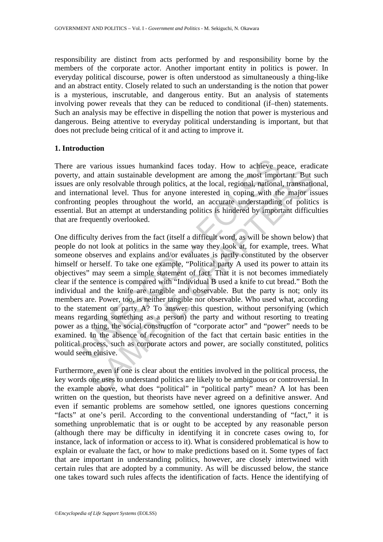responsibility are distinct from acts performed by and responsibility borne by the members of the corporate actor. Another important entity in politics is power. In everyday political discourse, power is often understood as simultaneously a thing-like and an abstract entity. Closely related to such an understanding is the notion that power is a mysterious, inscrutable, and dangerous entity. But an analysis of statements involving power reveals that they can be reduced to conditional (if–then) statements. Such an analysis may be effective in dispelling the notion that power is mysterious and dangerous. Being attentive to everyday political understanding is important, but that does not preclude being critical of it and acting to improve it.

#### **1. Introduction**

There are various issues humankind faces today. How to achieve peace, eradicate poverty, and attain sustainable development are among the most important. But such issues are only resolvable through politics, at the local, regional, national, transnational, and international level. Thus for anyone interested in coping with the major issues confronting peoples throughout the world, an accurate understanding of politics is essential. But an attempt at understanding politics is hindered by important difficulties that are frequently overlooked.

are various issues humankind faces today. How to achieve p, and attain sustainable development are among the most impoor the most impoor and the local, regional, national ernational level. Thus for anyone interested in cop And attain sustainable development are among the most important. But station but resolutional tevelopment are among the most important. But stational levelopment are among the most important. But standardional level. Thus One difficulty derives from the fact (itself a difficult word, as will be shown below) that people do not look at politics in the same way they look at, for example, trees. What someone observes and explains and/or evaluates is partly constituted by the observer himself or herself. To take one example, "Political party A used its power to attain its objectives" may seem a simple statement of fact. That it is not becomes immediately clear if the sentence is compared with "Individual B used a knife to cut bread." Both the individual and the knife are tangible and observable. But the party is not; only its members are. Power, too, is neither tangible nor observable. Who used what, according to the statement on party A? To answer this question, without personifying (which means regarding something as a person) the party and without resorting to treating power as a thing, the social construction of "corporate actor" and "power" needs to be examined. In the absence of recognition of the fact that certain basic entities in the political process, such as corporate actors and power, are socially constituted, politics would seem elusive.

Furthermore, even if one is clear about the entities involved in the political process, the key words one uses to understand politics are likely to be ambiguous or controversial. In the example above, what does "political" in "political party" mean? A lot has been written on the question, but theorists have never agreed on a definitive answer. And even if semantic problems are somehow settled, one ignores questions concerning "facts" at one's peril. According to the conventional understanding of "fact," it is something unproblematic that is or ought to be accepted by any reasonable person (although there may be difficulty in identifying it in concrete cases owing to, for instance, lack of information or access to it). What is considered problematical is how to explain or evaluate the fact, or how to make predictions based on it. Some types of fact that are important in understanding politics, however, are closely intertwined with certain rules that are adopted by a community. As will be discussed below, the stance one takes toward such rules affects the identification of facts. Hence the identifying of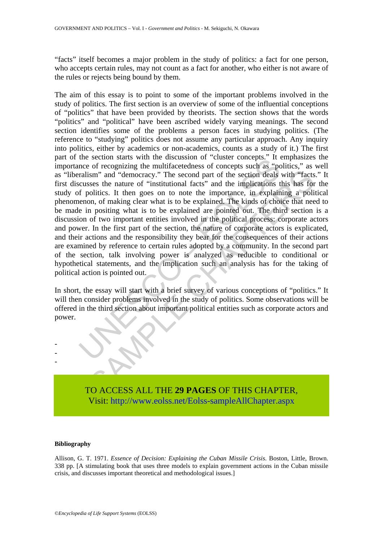"facts" itself becomes a major problem in the study of politics: a fact for one person, who accepts certain rules, may not count as a fact for another, who either is not aware of the rules or rejects being bound by them.

the section stats with the these stats of concepts cut a sect cone and the metal of recognizing the multifacetedness of concepts such as "portalism" and "democracy." The second part of the section deals crusses the nature sm" and "democracy." The second part of the section deals with "facts<br>ses the nature of "institutional facts" and the implications this has for<br>oblitics. It then goes on to note the importance, in explaimed a politic<br>oblic The aim of this essay is to point to some of the important problems involved in the study of politics. The first section is an overview of some of the influential conceptions of "politics" that have been provided by theorists. The section shows that the words "politics" and "political" have been ascribed widely varying meanings. The second section identifies some of the problems a person faces in studying politics. (The reference to "studying" politics does not assume any particular approach. Any inquiry into politics, either by academics or non-academics, counts as a study of it.) The first part of the section starts with the discussion of "cluster concepts." It emphasizes the importance of recognizing the multifacetedness of concepts such as "politics," as well as "liberalism" and "democracy." The second part of the section deals with "facts." It first discusses the nature of "institutional facts" and the implications this has for the study of politics. It then goes on to note the importance, in explaining a political phenomenon, of making clear what is to be explained. The kinds of choice that need to be made in positing what is to be explained are pointed out. The third section is a discussion of two important entities involved in the political process: corporate actors and power. In the first part of the section, the nature of corporate actors is explicated, and their actions and the responsibility they bear for the consequences of their actions are examined by reference to certain rules adopted by a community. In the second part of the section, talk involving power is analyzed as reducible to conditional or hypothetical statements, and the implication such an analysis has for the taking of political action is pointed out.

In short, the essay will start with a brief survey of various conceptions of "politics." It will then consider problems involved in the study of politics. Some observations will be offered in the third section about important political entities such as corporate actors and power.

> TO ACCESS ALL THE **29 PAGES** OF THIS CHAPTER, Visi[t: http://www.eolss.net/Eolss-sampleAllChapter.aspx](https://www.eolss.net/ebooklib/sc_cart.aspx?File=E6-32)

#### **Bibliography**

- - -

Allison, G. T. 1971. *Essence of Decision: Explaining the Cuban Missile Crisis*. Boston, Little, Brown. 338 pp. [A stimulating book that uses three models to explain government actions in the Cuban missile crisis, and discusses important theoretical and methodological issues.]